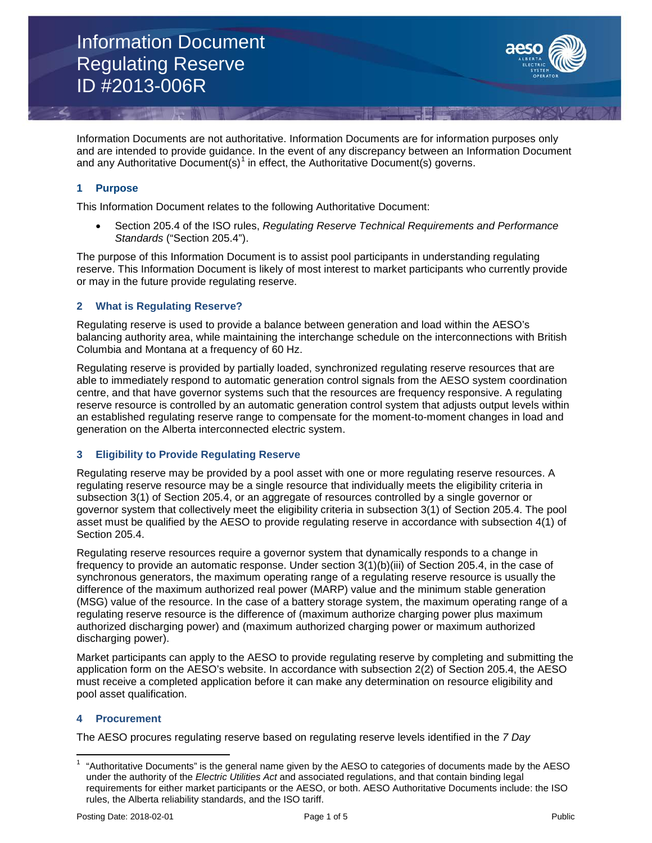

Information Documents are not authoritative. Information Documents are for information purposes only and are intended to provide guidance. In the event of any discrepancy between an Information Document and any Authoritative Document(s)<sup>[1](#page-0-0)</sup> in effect, the Authoritative Document(s) governs.

# **1 Purpose**

This Information Document relates to the following Authoritative Document:

• Section 205.4 of the ISO rules, *Regulating Reserve Technical Requirements and Performance Standards* ("Section 205.4").

The purpose of this Information Document is to assist pool participants in understanding regulating reserve. This Information Document is likely of most interest to market participants who currently provide or may in the future provide regulating reserve.

## **2 What is Regulating Reserve?**

Regulating reserve is used to provide a balance between generation and load within the AESO's balancing authority area, while maintaining the interchange schedule on the interconnections with British Columbia and Montana at a frequency of 60 Hz.

Regulating reserve is provided by partially loaded, synchronized regulating reserve resources that are able to immediately respond to automatic generation control signals from the AESO system coordination centre, and that have governor systems such that the resources are frequency responsive. A regulating reserve resource is controlled by an automatic generation control system that adjusts output levels within an established regulating reserve range to compensate for the moment-to-moment changes in load and generation on the Alberta interconnected electric system.

# **3 Eligibility to Provide Regulating Reserve**

Regulating reserve may be provided by a pool asset with one or more regulating reserve resources. A regulating reserve resource may be a single resource that individually meets the eligibility criteria in subsection 3(1) of Section 205.4, or an aggregate of resources controlled by a single governor or governor system that collectively meet the eligibility criteria in subsection 3(1) of Section 205.4. The pool asset must be qualified by the AESO to provide regulating reserve in accordance with subsection 4(1) of Section 205.4.

Regulating reserve resources require a governor system that dynamically responds to a change in frequency to provide an automatic response. Under section 3(1)(b)(iii) of Section 205.4, in the case of synchronous generators, the maximum operating range of a regulating reserve resource is usually the difference of the maximum authorized real power (MARP) value and the minimum stable generation (MSG) value of the resource. In the case of a battery storage system, the maximum operating range of a regulating reserve resource is the difference of (maximum authorize charging power plus maximum authorized discharging power) and (maximum authorized charging power or maximum authorized discharging power).

Market participants can apply to the AESO to provide regulating reserve by completing and submitting the application form on the AESO's website. In accordance with subsection 2(2) of Section 205.4, the AESO must receive a completed application before it can make any determination on resource eligibility and pool asset qualification.

# **4 Procurement**

The AESO procures regulating reserve based on regulating reserve levels identified in the *7 Day* 

<span id="page-0-0"></span><sup>1</sup> "Authoritative Documents" is the general name given by the AESO to categories of documents made by the AESO under the authority of the *Electric Utilities Act* and associated regulations, and that contain binding legal requirements for either market participants or the AESO, or both. AESO Authoritative Documents include: the ISO rules, the Alberta reliability standards, and the ISO tariff.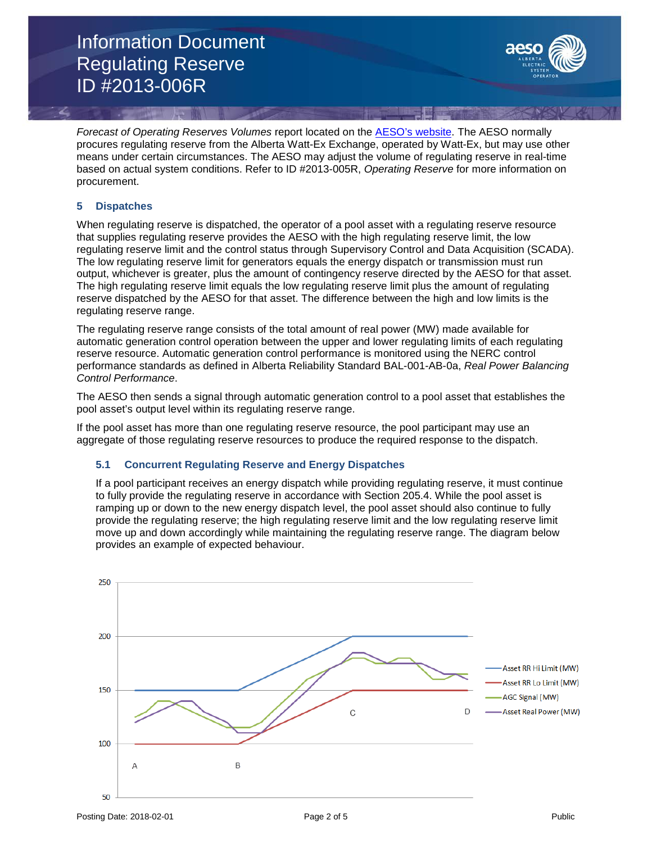Information Document Regulating Reserve ID #2013-006R



*Forecast of Operating Reserves Volumes* report located on the [AESO's website.](https://www.aeso.ca/market/market-and-system-reporting/) The AESO normally procures regulating reserve from the Alberta Watt-Ex Exchange, operated by Watt-Ex, but may use other means under certain circumstances. The AESO may adjust the volume of regulating reserve in real-time based on actual system conditions. Refer to ID #2013-005R, *Operating Reserve* for more information on procurement.

#### **5 Dispatches**

When regulating reserve is dispatched, the operator of a pool asset with a regulating reserve resource that supplies regulating reserve provides the AESO with the high regulating reserve limit, the low regulating reserve limit and the control status through Supervisory Control and Data Acquisition (SCADA). The low regulating reserve limit for generators equals the energy dispatch or transmission must run output, whichever is greater, plus the amount of contingency reserve directed by the AESO for that asset. The high regulating reserve limit equals the low regulating reserve limit plus the amount of regulating reserve dispatched by the AESO for that asset. The difference between the high and low limits is the regulating reserve range.

The regulating reserve range consists of the total amount of real power (MW) made available for automatic generation control operation between the upper and lower regulating limits of each regulating reserve resource. Automatic generation control performance is monitored using the NERC control performance standards as defined in Alberta Reliability Standard BAL-001-AB-0a, *Real Power Balancing Control Performance*.

The AESO then sends a signal through automatic generation control to a pool asset that establishes the pool asset's output level within its regulating reserve range.

If the pool asset has more than one regulating reserve resource, the pool participant may use an aggregate of those regulating reserve resources to produce the required response to the dispatch.

## **5.1 Concurrent Regulating Reserve and Energy Dispatches**

If a pool participant receives an energy dispatch while providing regulating reserve, it must continue to fully provide the regulating reserve in accordance with Section 205.4. While the pool asset is ramping up or down to the new energy dispatch level, the pool asset should also continue to fully provide the regulating reserve; the high regulating reserve limit and the low regulating reserve limit move up and down accordingly while maintaining the regulating reserve range. The diagram below provides an example of expected behaviour.

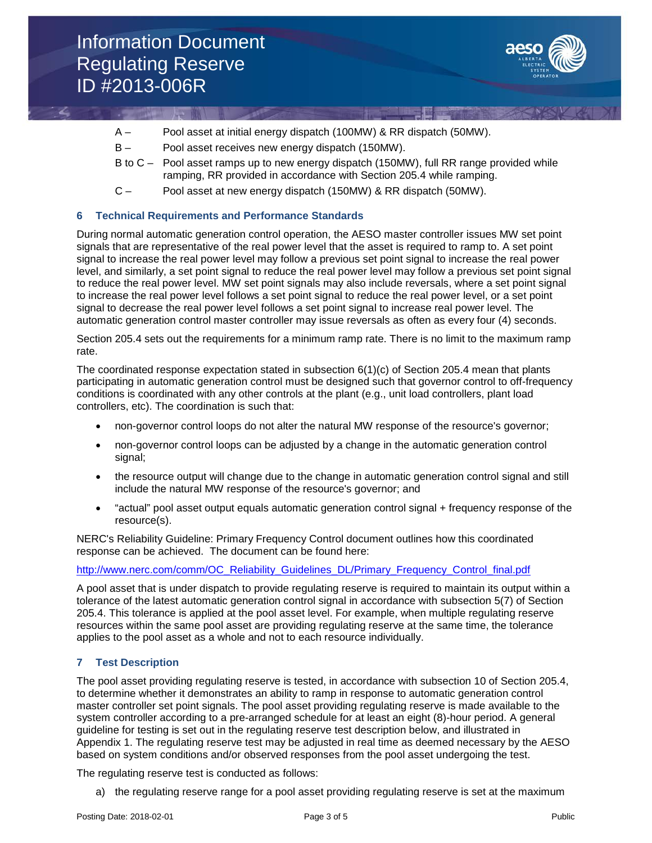

- A Pool asset at initial energy dispatch (100MW) & RR dispatch (50MW).
- B Pool asset receives new energy dispatch (150MW).
- B to C Pool asset ramps up to new energy dispatch (150MW), full RR range provided while ramping, RR provided in accordance with Section 205.4 while ramping.
- C Pool asset at new energy dispatch (150MW) & RR dispatch (50MW).

## **6 Technical Requirements and Performance Standards**

During normal automatic generation control operation, the AESO master controller issues MW set point signals that are representative of the real power level that the asset is required to ramp to. A set point signal to increase the real power level may follow a previous set point signal to increase the real power level, and similarly, a set point signal to reduce the real power level may follow a previous set point signal to reduce the real power level. MW set point signals may also include reversals, where a set point signal to increase the real power level follows a set point signal to reduce the real power level, or a set point signal to decrease the real power level follows a set point signal to increase real power level. The automatic generation control master controller may issue reversals as often as every four (4) seconds.

Section 205.4 sets out the requirements for a minimum ramp rate. There is no limit to the maximum ramp rate.

The coordinated response expectation stated in subsection  $6(1)(c)$  of Section 205.4 mean that plants participating in automatic generation control must be designed such that governor control to off-frequency conditions is coordinated with any other controls at the plant (e.g., unit load controllers, plant load controllers, etc). The coordination is such that:

- non-governor control loops do not alter the natural MW response of the resource's governor;
- non-governor control loops can be adjusted by a change in the automatic generation control signal;
- the resource output will change due to the change in automatic generation control signal and still include the natural MW response of the resource's governor; and
- "actual" pool asset output equals automatic generation control signal + frequency response of the resource(s).

NERC's Reliability Guideline: Primary Frequency Control document outlines how this coordinated response can be achieved. The document can be found here:

## [http://www.nerc.com/comm/OC\\_Reliability\\_Guidelines\\_DL/Primary\\_Frequency\\_Control\\_final.pdf](http://www.nerc.com/comm/OC_Reliability_Guidelines_DL/Primary_Frequency_Control_final.pdf)

A pool asset that is under dispatch to provide regulating reserve is required to maintain its output within a tolerance of the latest automatic generation control signal in accordance with subsection 5(7) of Section 205.4. This tolerance is applied at the pool asset level. For example, when multiple regulating reserve resources within the same pool asset are providing regulating reserve at the same time, the tolerance applies to the pool asset as a whole and not to each resource individually.

## **7 Test Description**

The pool asset providing regulating reserve is tested, in accordance with subsection 10 of Section 205.4, to determine whether it demonstrates an ability to ramp in response to automatic generation control master controller set point signals. The pool asset providing regulating reserve is made available to the system controller according to a pre-arranged schedule for at least an eight (8)-hour period. A general guideline for testing is set out in the regulating reserve test description below, and illustrated in Appendix 1. The regulating reserve test may be adjusted in real time as deemed necessary by the AESO based on system conditions and/or observed responses from the pool asset undergoing the test.

The regulating reserve test is conducted as follows:

a) the regulating reserve range for a pool asset providing regulating reserve is set at the maximum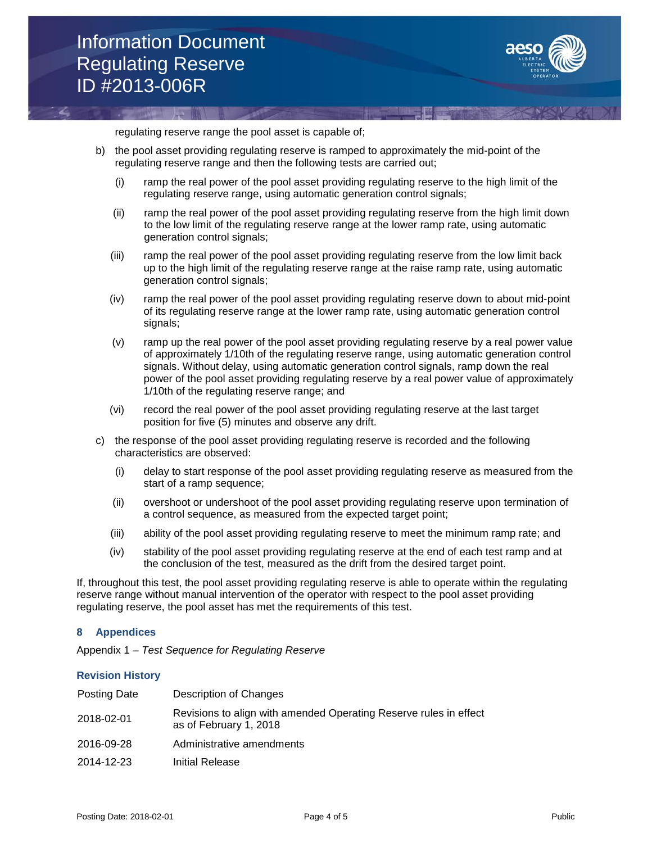

regulating reserve range the pool asset is capable of;

- b) the pool asset providing regulating reserve is ramped to approximately the mid-point of the regulating reserve range and then the following tests are carried out;
	- (i) ramp the real power of the pool asset providing regulating reserve to the high limit of the regulating reserve range, using automatic generation control signals;
	- (ii) ramp the real power of the pool asset providing regulating reserve from the high limit down to the low limit of the regulating reserve range at the lower ramp rate, using automatic generation control signals;
	- (iii) ramp the real power of the pool asset providing regulating reserve from the low limit back up to the high limit of the regulating reserve range at the raise ramp rate, using automatic generation control signals;
	- (iv) ramp the real power of the pool asset providing regulating reserve down to about mid-point of its regulating reserve range at the lower ramp rate, using automatic generation control signals;
	- (v) ramp up the real power of the pool asset providing regulating reserve by a real power value of approximately 1/10th of the regulating reserve range, using automatic generation control signals. Without delay, using automatic generation control signals, ramp down the real power of the pool asset providing regulating reserve by a real power value of approximately 1/10th of the regulating reserve range; and
	- (vi) record the real power of the pool asset providing regulating reserve at the last target position for five (5) minutes and observe any drift.
- c) the response of the pool asset providing regulating reserve is recorded and the following characteristics are observed:
	- (i) delay to start response of the pool asset providing regulating reserve as measured from the start of a ramp sequence;
	- (ii) overshoot or undershoot of the pool asset providing regulating reserve upon termination of a control sequence, as measured from the expected target point;
	- (iii) ability of the pool asset providing regulating reserve to meet the minimum ramp rate; and
	- (iv) stability of the pool asset providing regulating reserve at the end of each test ramp and at the conclusion of the test, measured as the drift from the desired target point.

If, throughout this test, the pool asset providing regulating reserve is able to operate within the regulating reserve range without manual intervention of the operator with respect to the pool asset providing regulating reserve, the pool asset has met the requirements of this test.

## **8 Appendices**

Appendix 1 – *Test Sequence for Regulating Reserve*

#### **Revision History**

| Posting Date | Description of Changes                                                                      |
|--------------|---------------------------------------------------------------------------------------------|
| 2018-02-01   | Revisions to align with amended Operating Reserve rules in effect<br>as of February 1, 2018 |
| 2016-09-28   | Administrative amendments                                                                   |
| 2014-12-23   | Initial Release                                                                             |